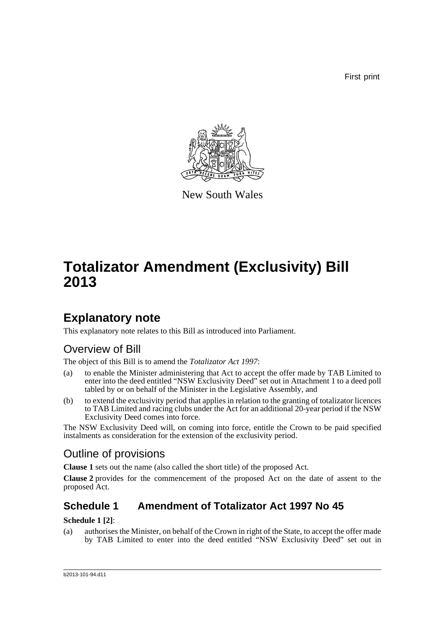First print



New South Wales

# **Totalizator Amendment (Exclusivity) Bill 2013**

## **Explanatory note**

This explanatory note relates to this Bill as introduced into Parliament.

## Overview of Bill

The object of this Bill is to amend the *Totalizator Act 1997*:

- (a) to enable the Minister administering that Act to accept the offer made by TAB Limited to enter into the deed entitled "NSW Exclusivity Deed" set out in Attachment 1 to a deed poll tabled by or on behalf of the Minister in the Legislative Assembly, and
- (b) to extend the exclusivity period that applies in relation to the granting of totalizator licences to TAB Limited and racing clubs under the Act for an additional 20-year period if the NSW Exclusivity Deed comes into force.

The NSW Exclusivity Deed will, on coming into force, entitle the Crown to be paid specified instalments as consideration for the extension of the exclusivity period.

## Outline of provisions

**Clause 1** sets out the name (also called the short title) of the proposed Act.

**Clause 2** provides for the commencement of the proposed Act on the date of assent to the proposed Act.

### **Schedule 1 Amendment of Totalizator Act 1997 No 45**

#### **Schedule 1 [2]**:

(a) authorises the Minister, on behalf of the Crown in right of the State, to accept the offer made by TAB Limited to enter into the deed entitled "NSW Exclusivity Deed" set out in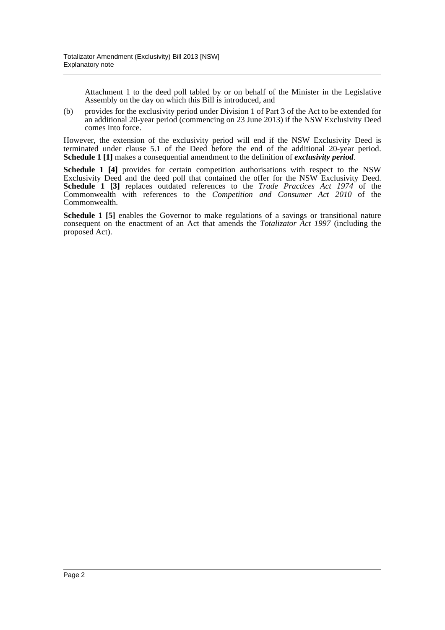Attachment 1 to the deed poll tabled by or on behalf of the Minister in the Legislative Assembly on the day on which this Bill is introduced, and

(b) provides for the exclusivity period under Division 1 of Part 3 of the Act to be extended for an additional 20-year period (commencing on 23 June 2013) if the NSW Exclusivity Deed comes into force.

However, the extension of the exclusivity period will end if the NSW Exclusivity Deed is terminated under clause 5.1 of the Deed before the end of the additional 20-year period. **Schedule 1 [1]** makes a consequential amendment to the definition of *exclusivity period*.

**Schedule 1 [4]** provides for certain competition authorisations with respect to the NSW Exclusivity Deed and the deed poll that contained the offer for the NSW Exclusivity Deed. **Schedule 1 [3]** replaces outdated references to the *Trade Practices Act 1974* of the Commonwealth with references to the *Competition and Consumer Act 2010* of the Commonwealth.

**Schedule 1 [5]** enables the Governor to make regulations of a savings or transitional nature consequent on the enactment of an Act that amends the *Totalizator Act 1997* (including the proposed Act).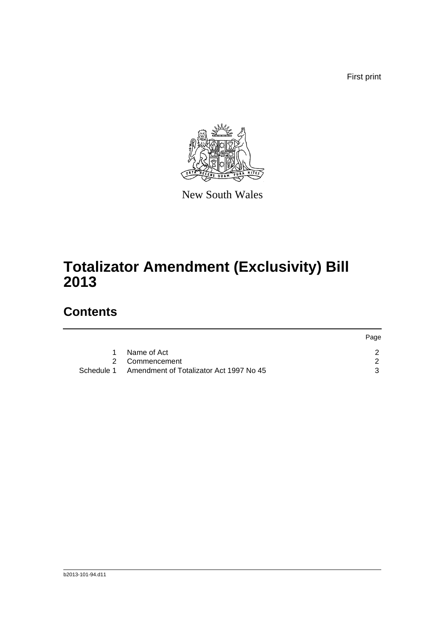First print



New South Wales

# **Totalizator Amendment (Exclusivity) Bill 2013**

## **Contents**

|            |                                         | Page |
|------------|-----------------------------------------|------|
|            | Name of Act                             |      |
|            | 2 Commencement                          |      |
| Schedule 1 | Amendment of Totalizator Act 1997 No 45 |      |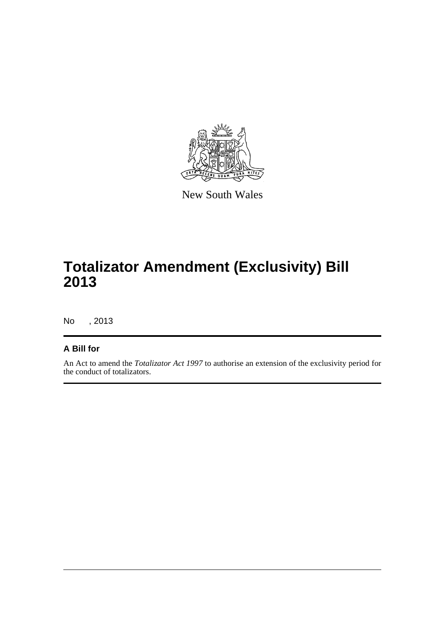

New South Wales

# **Totalizator Amendment (Exclusivity) Bill 2013**

No , 2013

#### **A Bill for**

An Act to amend the *Totalizator Act 1997* to authorise an extension of the exclusivity period for the conduct of totalizators.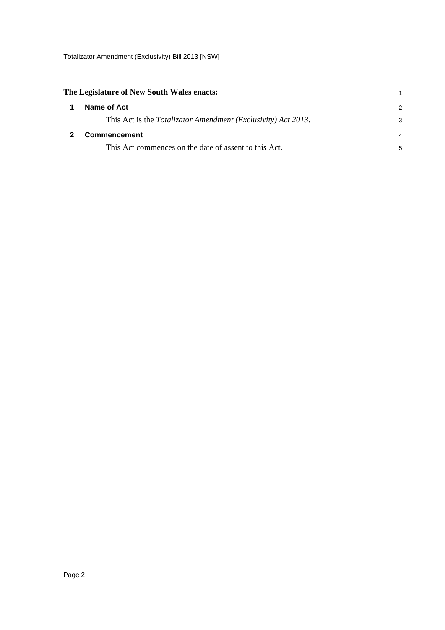<span id="page-4-1"></span><span id="page-4-0"></span>

| The Legislature of New South Wales enacts: |                                                                       |                |
|--------------------------------------------|-----------------------------------------------------------------------|----------------|
|                                            | Name of Act                                                           | 2              |
|                                            | This Act is the <i>Totalizator Amendment (Exclusivity) Act 2013</i> . | 3              |
|                                            | <b>Commencement</b>                                                   | $\overline{4}$ |
|                                            | This Act commences on the date of assent to this Act.                 | 5              |
|                                            |                                                                       |                |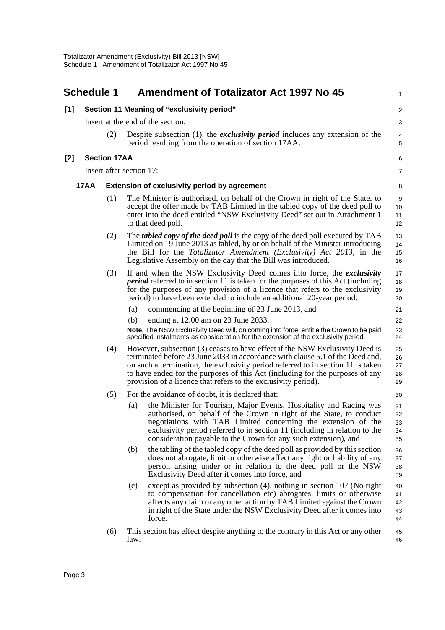<span id="page-5-0"></span>

|     | <b>Schedule 1</b> |                     | <b>Amendment of Totalizator Act 1997 No 45</b>                                                                                                                                                                                                                                                                                                                                                       | $\mathbf{1}$               |
|-----|-------------------|---------------------|------------------------------------------------------------------------------------------------------------------------------------------------------------------------------------------------------------------------------------------------------------------------------------------------------------------------------------------------------------------------------------------------------|----------------------------|
| [1] |                   |                     | Section 11 Meaning of "exclusivity period"                                                                                                                                                                                                                                                                                                                                                           | 2                          |
|     |                   |                     | Insert at the end of the section:                                                                                                                                                                                                                                                                                                                                                                    | 3                          |
|     |                   | (2)                 | Despite subsection $(1)$ , the <i>exclusivity period</i> includes any extension of the<br>period resulting from the operation of section 17AA.                                                                                                                                                                                                                                                       | 4<br>5                     |
| [2] |                   | <b>Section 17AA</b> |                                                                                                                                                                                                                                                                                                                                                                                                      | 6                          |
|     |                   |                     | Insert after section 17:                                                                                                                                                                                                                                                                                                                                                                             | $\overline{7}$             |
|     | <b>17AA</b>       |                     | <b>Extension of exclusivity period by agreement</b>                                                                                                                                                                                                                                                                                                                                                  | 8                          |
|     |                   | (1)                 | The Minister is authorised, on behalf of the Crown in right of the State, to<br>accept the offer made by TAB Limited in the tabled copy of the deed poll to<br>enter into the deed entitled "NSW Exclusivity Deed" set out in Attachment 1<br>to that deed poll.                                                                                                                                     | 9<br>10<br>11<br>12        |
|     |                   | (2)                 | The <i>tabled copy of the deed poll</i> is the copy of the deed poll executed by TAB<br>Limited on 19 June 2013 as tabled, by or on behalf of the Minister introducing<br>the Bill for the Totalizator Amendment (Exclusivity) Act 2013, in the<br>Legislative Assembly on the day that the Bill was introduced.                                                                                     | 13<br>14<br>15<br>16       |
|     |                   | (3)                 | If and when the NSW Exclusivity Deed comes into force, the exclusivity<br><i>period</i> referred to in section 11 is taken for the purposes of this Act (including<br>for the purposes of any provision of a licence that refers to the exclusivity<br>period) to have been extended to include an additional 20-year period:                                                                        | 17<br>18<br>19<br>20       |
|     |                   |                     | commencing at the beginning of 23 June 2013, and<br>(a)                                                                                                                                                                                                                                                                                                                                              | 21                         |
|     |                   |                     | ending at 12.00 am on 23 June 2033.<br>(b)                                                                                                                                                                                                                                                                                                                                                           | 22                         |
|     |                   |                     | Note. The NSW Exclusivity Deed will, on coming into force, entitle the Crown to be paid<br>specified instalments as consideration for the extension of the exclusivity period.                                                                                                                                                                                                                       | 23<br>24                   |
|     |                   | (4)                 | However, subsection (3) ceases to have effect if the NSW Exclusivity Deed is<br>terminated before 23 June 2033 in accordance with clause 5.1 of the Deed and,<br>on such a termination, the exclusivity period referred to in section 11 is taken<br>to have ended for the purposes of this Act (including for the purposes of any<br>provision of a licence that refers to the exclusivity period). | 25<br>26<br>27<br>28<br>29 |
|     |                   | (5)                 | For the avoidance of doubt, it is declared that:                                                                                                                                                                                                                                                                                                                                                     | 30                         |
|     |                   |                     | the Minister for Tourism, Major Events, Hospitality and Racing was<br>(a)<br>authorised, on behalf of the Crown in right of the State, to conduct<br>negotiations with TAB Limited concerning the extension of the<br>exclusivity period referred to in section 11 (including in relation to the<br>consideration payable to the Crown for any such extension), and                                  | 31<br>32<br>33<br>34<br>35 |
|     |                   |                     | the tabling of the tabled copy of the deed poll as provided by this section<br>(b)<br>does not abrogate, limit or otherwise affect any right or liability of any<br>person arising under or in relation to the deed poll or the NSW<br>Exclusivity Deed after it comes into force, and                                                                                                               | 36<br>37<br>38<br>39       |
|     |                   |                     | except as provided by subsection (4), nothing in section 107 (No right<br>(c)<br>to compensation for cancellation etc) abrogates, limits or otherwise<br>affects any claim or any other action by TAB Limited against the Crown<br>in right of the State under the NSW Exclusivity Deed after it comes into<br>force.                                                                                | 40<br>41<br>42<br>43<br>44 |
|     |                   | (6)                 | This section has effect despite anything to the contrary in this Act or any other<br>law.                                                                                                                                                                                                                                                                                                            | 45<br>46                   |